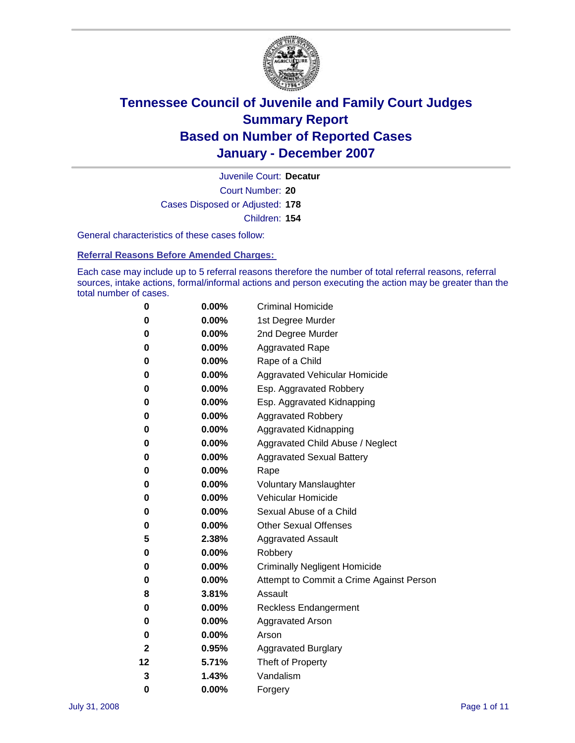

Court Number: **20** Juvenile Court: **Decatur** Cases Disposed or Adjusted: **178** Children: **154**

General characteristics of these cases follow:

**Referral Reasons Before Amended Charges:** 

Each case may include up to 5 referral reasons therefore the number of total referral reasons, referral sources, intake actions, formal/informal actions and person executing the action may be greater than the total number of cases.

| 0  | 0.00%    | <b>Criminal Homicide</b>                 |
|----|----------|------------------------------------------|
| 0  | 0.00%    | 1st Degree Murder                        |
| 0  | $0.00\%$ | 2nd Degree Murder                        |
| 0  | 0.00%    | <b>Aggravated Rape</b>                   |
| 0  | 0.00%    | Rape of a Child                          |
| 0  | 0.00%    | Aggravated Vehicular Homicide            |
| 0  | 0.00%    | Esp. Aggravated Robbery                  |
| 0  | 0.00%    | Esp. Aggravated Kidnapping               |
| 0  | 0.00%    | <b>Aggravated Robbery</b>                |
| 0  | $0.00\%$ | Aggravated Kidnapping                    |
| 0  | 0.00%    | Aggravated Child Abuse / Neglect         |
| 0  | $0.00\%$ | <b>Aggravated Sexual Battery</b>         |
| 0  | 0.00%    | Rape                                     |
| 0  | 0.00%    | <b>Voluntary Manslaughter</b>            |
| 0  | 0.00%    | Vehicular Homicide                       |
| 0  | 0.00%    | Sexual Abuse of a Child                  |
| 0  | 0.00%    | <b>Other Sexual Offenses</b>             |
| 5  | 2.38%    | Aggravated Assault                       |
| 0  | $0.00\%$ | Robbery                                  |
| 0  | 0.00%    | <b>Criminally Negligent Homicide</b>     |
| 0  | 0.00%    | Attempt to Commit a Crime Against Person |
| 8  | 3.81%    | Assault                                  |
| 0  | 0.00%    | <b>Reckless Endangerment</b>             |
| 0  | 0.00%    | <b>Aggravated Arson</b>                  |
| 0  | 0.00%    | Arson                                    |
| 2  | 0.95%    | <b>Aggravated Burglary</b>               |
| 12 | 5.71%    | Theft of Property                        |
| 3  | 1.43%    | Vandalism                                |
| 0  | 0.00%    | Forgery                                  |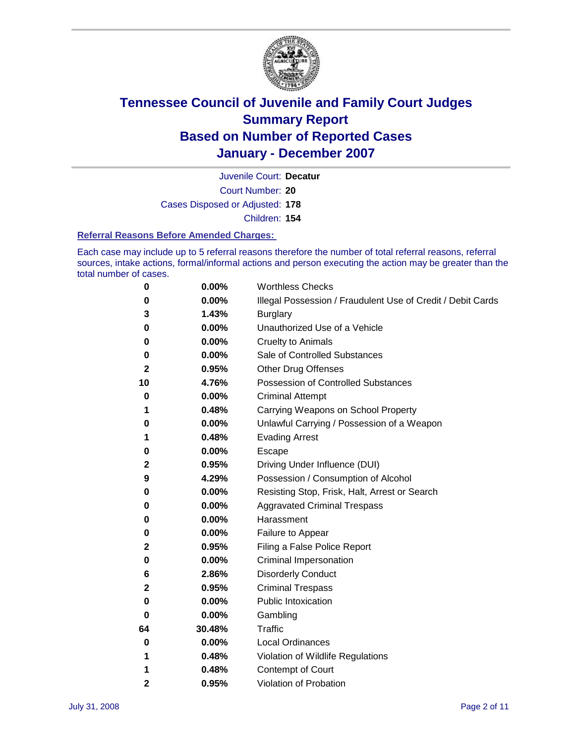

Court Number: **20** Juvenile Court: **Decatur** Cases Disposed or Adjusted: **178** Children: **154**

#### **Referral Reasons Before Amended Charges:**

Each case may include up to 5 referral reasons therefore the number of total referral reasons, referral sources, intake actions, formal/informal actions and person executing the action may be greater than the total number of cases.

| 0            | 0.00%  | <b>Worthless Checks</b>                                     |
|--------------|--------|-------------------------------------------------------------|
| 0            | 0.00%  | Illegal Possession / Fraudulent Use of Credit / Debit Cards |
| 3            | 1.43%  | <b>Burglary</b>                                             |
| 0            | 0.00%  | Unauthorized Use of a Vehicle                               |
| 0            | 0.00%  | <b>Cruelty to Animals</b>                                   |
| 0            | 0.00%  | Sale of Controlled Substances                               |
| $\mathbf 2$  | 0.95%  | <b>Other Drug Offenses</b>                                  |
| 10           | 4.76%  | <b>Possession of Controlled Substances</b>                  |
| 0            | 0.00%  | <b>Criminal Attempt</b>                                     |
| 1            | 0.48%  | Carrying Weapons on School Property                         |
| 0            | 0.00%  | Unlawful Carrying / Possession of a Weapon                  |
| 1            | 0.48%  | <b>Evading Arrest</b>                                       |
| 0            | 0.00%  | Escape                                                      |
| 2            | 0.95%  | Driving Under Influence (DUI)                               |
| 9            | 4.29%  | Possession / Consumption of Alcohol                         |
| 0            | 0.00%  | Resisting Stop, Frisk, Halt, Arrest or Search               |
| 0            | 0.00%  | <b>Aggravated Criminal Trespass</b>                         |
| 0            | 0.00%  | Harassment                                                  |
| 0            | 0.00%  | Failure to Appear                                           |
| 2            | 0.95%  | Filing a False Police Report                                |
| 0            | 0.00%  | Criminal Impersonation                                      |
| 6            | 2.86%  | <b>Disorderly Conduct</b>                                   |
| $\mathbf{2}$ | 0.95%  | <b>Criminal Trespass</b>                                    |
| 0            | 0.00%  | <b>Public Intoxication</b>                                  |
| 0            | 0.00%  | Gambling                                                    |
| 64           | 30.48% | Traffic                                                     |
| 0            | 0.00%  | <b>Local Ordinances</b>                                     |
| 1            | 0.48%  | Violation of Wildlife Regulations                           |
| 1            | 0.48%  | Contempt of Court                                           |
| 2            | 0.95%  | Violation of Probation                                      |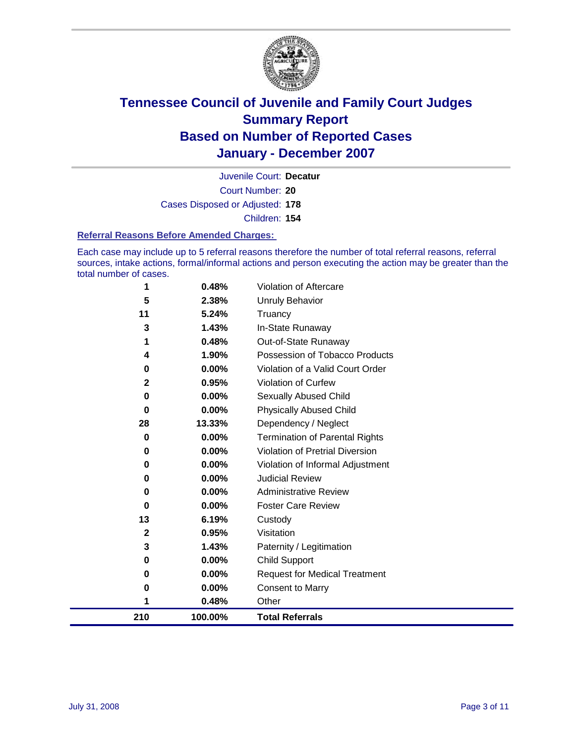

Court Number: **20** Juvenile Court: **Decatur** Cases Disposed or Adjusted: **178** Children: **154**

#### **Referral Reasons Before Amended Charges:**

Each case may include up to 5 referral reasons therefore the number of total referral reasons, referral sources, intake actions, formal/informal actions and person executing the action may be greater than the total number of cases.

| 1            | 0.48%          | Other                                                              |
|--------------|----------------|--------------------------------------------------------------------|
| 0            | 0.00%          | <b>Consent to Marry</b>                                            |
| 0            | 0.00%          | <b>Request for Medical Treatment</b>                               |
| 0            | 0.00%          | Child Support                                                      |
| 3            | 1.43%          | Paternity / Legitimation                                           |
| $\mathbf{2}$ | 0.95%          | Visitation                                                         |
| 13           | 6.19%          | Custody                                                            |
| 0            | 0.00%          | <b>Foster Care Review</b>                                          |
| 0            | 0.00%          | <b>Administrative Review</b>                                       |
| 0            | 0.00%          | <b>Judicial Review</b>                                             |
| 0            | 0.00%          | Violation of Informal Adjustment                                   |
| 0            | 0.00%          | Violation of Pretrial Diversion                                    |
| 0            | 0.00%          | <b>Termination of Parental Rights</b>                              |
| 28           | 13.33%         | Dependency / Neglect                                               |
| 0            | 0.00%          | <b>Physically Abused Child</b>                                     |
| 0            | 0.00%          | <b>Sexually Abused Child</b>                                       |
| $\mathbf{2}$ | 0.95%          | <b>Violation of Curfew</b>                                         |
| 4<br>0       | 1.90%<br>0.00% | Possession of Tobacco Products<br>Violation of a Valid Court Order |
|              | 0.48%          | Out-of-State Runaway                                               |
| 3            | 1.43%          | In-State Runaway                                                   |
| 11           | 5.24%          | Truancy                                                            |
| 5            | 2.38%          | <b>Unruly Behavior</b>                                             |
| 1            | 0.48%          | Violation of Aftercare                                             |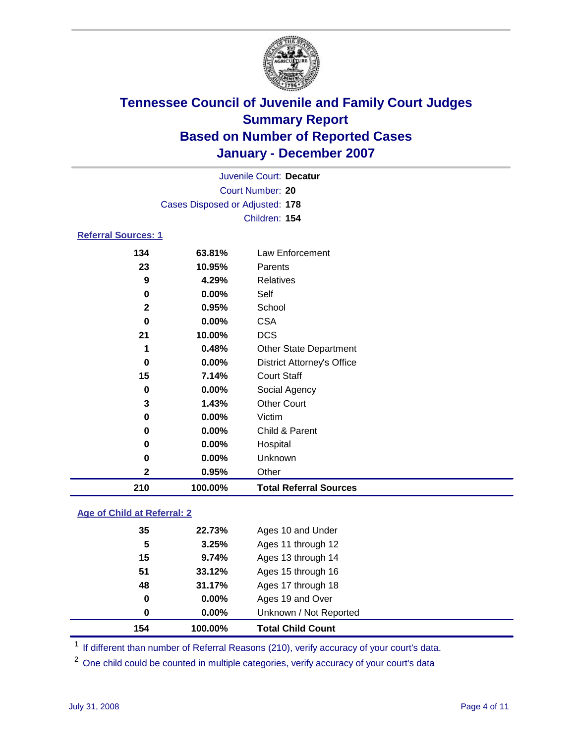

|                                 |          | Juvenile Court: Decatur           |  |  |  |  |
|---------------------------------|----------|-----------------------------------|--|--|--|--|
| Court Number: 20                |          |                                   |  |  |  |  |
| Cases Disposed or Adjusted: 178 |          |                                   |  |  |  |  |
|                                 |          | Children: 154                     |  |  |  |  |
| <b>Referral Sources: 1</b>      |          |                                   |  |  |  |  |
| 134                             | 63.81%   | Law Enforcement                   |  |  |  |  |
| 23                              | 10.95%   | Parents                           |  |  |  |  |
| 9                               | 4.29%    | <b>Relatives</b>                  |  |  |  |  |
| 0                               | $0.00\%$ | Self                              |  |  |  |  |
| $\mathbf{2}$                    | 0.95%    | School                            |  |  |  |  |
| 0                               | $0.00\%$ | <b>CSA</b>                        |  |  |  |  |
| 21                              | 10.00%   | <b>DCS</b>                        |  |  |  |  |
| 1                               | 0.48%    | <b>Other State Department</b>     |  |  |  |  |
| 0                               | $0.00\%$ | <b>District Attorney's Office</b> |  |  |  |  |
| 15                              | 7.14%    | <b>Court Staff</b>                |  |  |  |  |
| 0                               | $0.00\%$ | Social Agency                     |  |  |  |  |
| 2                               | 1 130/   | [Chapter Conert]                  |  |  |  |  |

| 210         | 100.00%  | <b>Total Referral Sources</b> |  |
|-------------|----------|-------------------------------|--|
| $\mathbf 2$ | 0.95%    | Other                         |  |
| 0           | $0.00\%$ | <b>Unknown</b>                |  |
| 0           | $0.00\%$ | Hospital                      |  |
| 0           | $0.00\%$ | Child & Parent                |  |
| 0           | $0.00\%$ | Victim                        |  |
| w           | 1.TJ/0   | UUGI UUUIL                    |  |

#### **Age of Child at Referral: 2**

| 154 | 100.00%       | <b>Total Child Count</b> |  |
|-----|---------------|--------------------------|--|
|     | $0.00\%$<br>0 | Unknown / Not Reported   |  |
|     | 0<br>$0.00\%$ | Ages 19 and Over         |  |
| 48  | 31.17%        | Ages 17 through 18       |  |
| 51  | 33.12%        | Ages 15 through 16       |  |
| 15  | 9.74%         | Ages 13 through 14       |  |
|     | 3.25%<br>5    | Ages 11 through 12       |  |
| 35  | 22.73%        | Ages 10 and Under        |  |
|     |               |                          |  |

<sup>1</sup> If different than number of Referral Reasons (210), verify accuracy of your court's data.

One child could be counted in multiple categories, verify accuracy of your court's data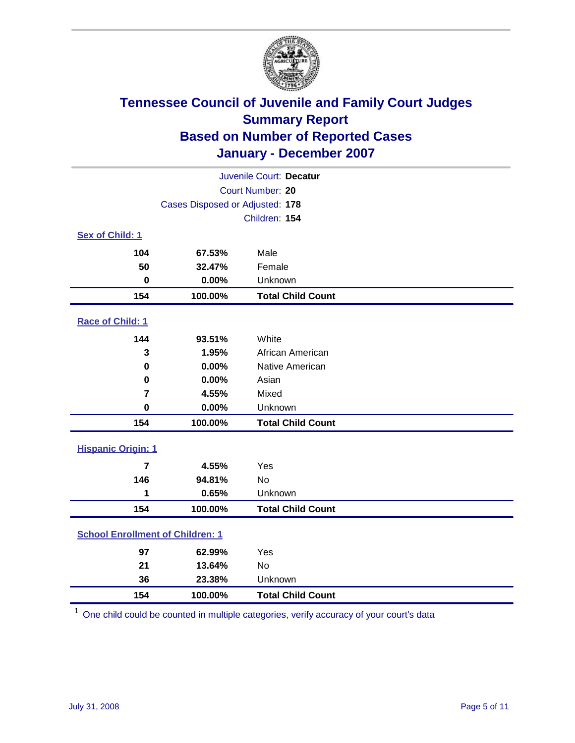

| Juvenile Court: Decatur                 |                                 |                          |  |  |  |
|-----------------------------------------|---------------------------------|--------------------------|--|--|--|
| Court Number: 20                        |                                 |                          |  |  |  |
|                                         | Cases Disposed or Adjusted: 178 |                          |  |  |  |
|                                         |                                 | Children: 154            |  |  |  |
| Sex of Child: 1                         |                                 |                          |  |  |  |
| 104                                     | 67.53%                          | Male                     |  |  |  |
| 50                                      | 32.47%                          | Female                   |  |  |  |
| $\bf{0}$                                | 0.00%                           | Unknown                  |  |  |  |
| 154                                     | 100.00%                         | <b>Total Child Count</b> |  |  |  |
| <b>Race of Child: 1</b>                 |                                 |                          |  |  |  |
| 144                                     | 93.51%                          | White                    |  |  |  |
| 3                                       | 1.95%                           | African American         |  |  |  |
| 0                                       | 0.00%                           | Native American          |  |  |  |
| 0                                       | 0.00%                           | Asian                    |  |  |  |
| $\overline{7}$                          | 4.55%                           | Mixed                    |  |  |  |
| $\mathbf 0$                             | 0.00%                           | Unknown                  |  |  |  |
| 154                                     | 100.00%                         | <b>Total Child Count</b> |  |  |  |
| <b>Hispanic Origin: 1</b>               |                                 |                          |  |  |  |
| $\overline{7}$                          | 4.55%                           | Yes                      |  |  |  |
| 146                                     | 94.81%                          | <b>No</b>                |  |  |  |
| 1                                       | 0.65%                           | Unknown                  |  |  |  |
| 154                                     | 100.00%                         | <b>Total Child Count</b> |  |  |  |
| <b>School Enrollment of Children: 1</b> |                                 |                          |  |  |  |
| 97                                      | 62.99%                          | Yes                      |  |  |  |
| 21                                      | 13.64%                          | No                       |  |  |  |
| 36                                      | 23.38%                          | Unknown                  |  |  |  |
| 154                                     | 100.00%                         | <b>Total Child Count</b> |  |  |  |

One child could be counted in multiple categories, verify accuracy of your court's data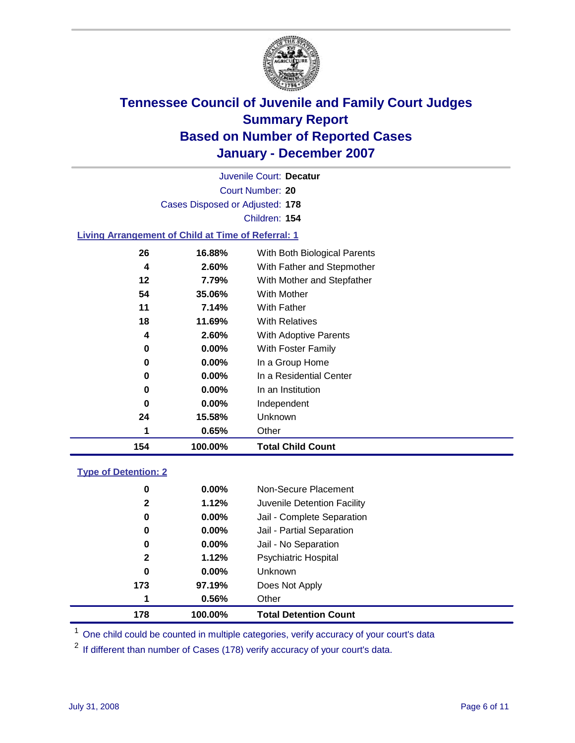

Court Number: **20** Juvenile Court: **Decatur** Cases Disposed or Adjusted: **178** Children: **154**

#### **Living Arrangement of Child at Time of Referral: 1**

| 154 | 100.00%  | <b>Total Child Count</b>     |
|-----|----------|------------------------------|
| 1   | 0.65%    | Other                        |
| 24  | 15.58%   | Unknown                      |
| 0   | $0.00\%$ | Independent                  |
| 0   | $0.00\%$ | In an Institution            |
| 0   | $0.00\%$ | In a Residential Center      |
| 0   | $0.00\%$ | In a Group Home              |
| 0   | $0.00\%$ | With Foster Family           |
| 4   | 2.60%    | With Adoptive Parents        |
| 18  | 11.69%   | <b>With Relatives</b>        |
| 11  | 7.14%    | With Father                  |
| 54  | 35.06%   | With Mother                  |
| 12  | 7.79%    | With Mother and Stepfather   |
| 4   | 2.60%    | With Father and Stepmother   |
| 26  | 16.88%   | With Both Biological Parents |
|     |          |                              |

#### **Type of Detention: 2**

| 178          | 100.00%  | <b>Total Detention Count</b> |  |
|--------------|----------|------------------------------|--|
| 1            | 0.56%    | Other                        |  |
| 173          | 97.19%   | Does Not Apply               |  |
| 0            | $0.00\%$ | <b>Unknown</b>               |  |
| $\mathbf{2}$ | 1.12%    | <b>Psychiatric Hospital</b>  |  |
| 0            | $0.00\%$ | Jail - No Separation         |  |
| 0            | $0.00\%$ | Jail - Partial Separation    |  |
| 0            | $0.00\%$ | Jail - Complete Separation   |  |
| $\mathbf{2}$ | 1.12%    | Juvenile Detention Facility  |  |
| 0            | $0.00\%$ | Non-Secure Placement         |  |
|              |          |                              |  |

<sup>1</sup> One child could be counted in multiple categories, verify accuracy of your court's data

<sup>2</sup> If different than number of Cases (178) verify accuracy of your court's data.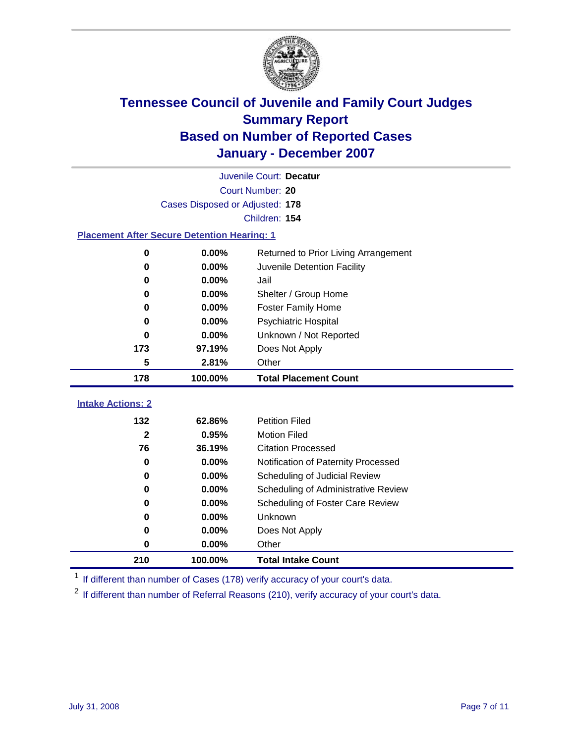

|                                                    | Juvenile Court: Decatur         |                                      |  |  |  |  |
|----------------------------------------------------|---------------------------------|--------------------------------------|--|--|--|--|
| Court Number: 20                                   |                                 |                                      |  |  |  |  |
|                                                    | Cases Disposed or Adjusted: 178 |                                      |  |  |  |  |
|                                                    | Children: 154                   |                                      |  |  |  |  |
| <b>Placement After Secure Detention Hearing: 1</b> |                                 |                                      |  |  |  |  |
| 0                                                  | 0.00%                           | Returned to Prior Living Arrangement |  |  |  |  |
| $\bf{0}$                                           | 0.00%                           | Juvenile Detention Facility          |  |  |  |  |
| 0                                                  | 0.00%                           | Jail                                 |  |  |  |  |
| 0                                                  | 0.00%                           | Shelter / Group Home                 |  |  |  |  |
| 0                                                  | 0.00%                           | <b>Foster Family Home</b>            |  |  |  |  |
| 0                                                  | 0.00%                           | Psychiatric Hospital                 |  |  |  |  |
| 0                                                  | 0.00%                           | Unknown / Not Reported               |  |  |  |  |
| 173                                                | 97.19%                          | Does Not Apply                       |  |  |  |  |
| 5                                                  | 2.81%                           | Other                                |  |  |  |  |
| 178                                                | 100.00%                         | <b>Total Placement Count</b>         |  |  |  |  |
|                                                    |                                 |                                      |  |  |  |  |
| <b>Intake Actions: 2</b>                           |                                 |                                      |  |  |  |  |
| 132                                                | 62.86%                          | <b>Petition Filed</b>                |  |  |  |  |
| $\overline{2}$                                     | 0.95%                           | <b>Motion Filed</b>                  |  |  |  |  |
| 76                                                 | 36.19%                          | <b>Citation Processed</b>            |  |  |  |  |
| 0                                                  | 0.00%                           | Notification of Paternity Processed  |  |  |  |  |
| 0                                                  | 0.00%                           | Scheduling of Judicial Review        |  |  |  |  |
| 0                                                  | 0.00%                           | Scheduling of Administrative Review  |  |  |  |  |
| 0                                                  | 0.00%                           | Scheduling of Foster Care Review     |  |  |  |  |
| $\bf{0}$                                           | 0.00%                           | Unknown                              |  |  |  |  |
| 0                                                  | 0.00%                           | Does Not Apply                       |  |  |  |  |
| $\bf{0}$                                           | 0.00%                           | Other                                |  |  |  |  |
| 210                                                | 100.00%                         | <b>Total Intake Count</b>            |  |  |  |  |

<sup>1</sup> If different than number of Cases (178) verify accuracy of your court's data.

<sup>2</sup> If different than number of Referral Reasons (210), verify accuracy of your court's data.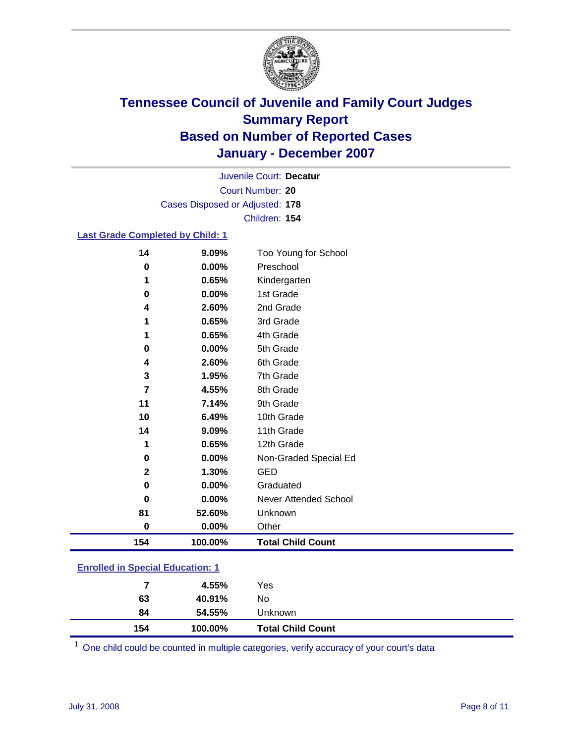

Court Number: **20** Juvenile Court: **Decatur** Cases Disposed or Adjusted: **178** Children: **154**

#### **Last Grade Completed by Child: 1**

| 154          | 100.00% | <b>Total Child Count</b> |
|--------------|---------|--------------------------|
| $\bf{0}$     | 0.00%   | Other                    |
| 81           | 52.60%  | Unknown                  |
| 0            | 0.00%   | Never Attended School    |
| 0            | 0.00%   | Graduated                |
| $\mathbf{2}$ | 1.30%   | <b>GED</b>               |
| $\bf{0}$     | 0.00%   | Non-Graded Special Ed    |
| 1            | 0.65%   | 12th Grade               |
| 14           | 9.09%   | 11th Grade               |
| 10           | 6.49%   | 10th Grade               |
| 11           | 7.14%   | 9th Grade                |
| 7            | 4.55%   | 8th Grade                |
| 3            | 1.95%   | 7th Grade                |
| 4            | 2.60%   | 6th Grade                |
| $\bf{0}$     | 0.00%   | 5th Grade                |
| 1            | 0.65%   | 4th Grade                |
| 1            | 0.65%   | 3rd Grade                |
| 4            | 2.60%   | 2nd Grade                |
| 0            | 0.00%   | 1st Grade                |
| 1            | 0.65%   | Kindergarten             |
| $\bf{0}$     | 0.00%   | Preschool                |
| 14           | 9.09%   | Too Young for School     |

### **Enrolled in Special Education: 1**

<sup>1</sup> One child could be counted in multiple categories, verify accuracy of your court's data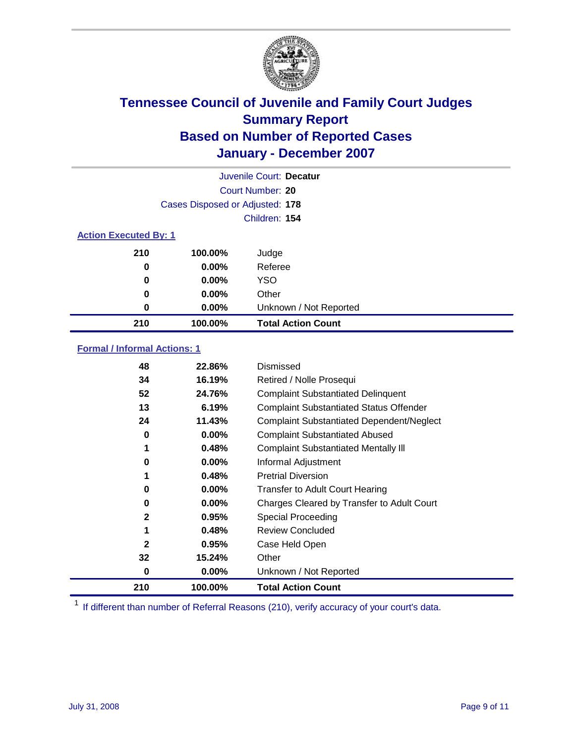

|                              |                                 | Juvenile Court: Decatur   |
|------------------------------|---------------------------------|---------------------------|
|                              |                                 | Court Number: 20          |
|                              | Cases Disposed or Adjusted: 178 |                           |
|                              |                                 | Children: 154             |
| <b>Action Executed By: 1</b> |                                 |                           |
| 210                          | 100.00%                         | Judge                     |
| 0                            | $0.00\%$                        | Referee                   |
| 0                            | $0.00\%$                        | <b>YSO</b>                |
| 0                            | $0.00\%$                        | Other                     |
| 0                            | 0.00%                           | Unknown / Not Reported    |
| 210                          | 100.00%                         | <b>Total Action Count</b> |

### **Formal / Informal Actions: 1**

| 48           | 22.86%   | Dismissed                                        |
|--------------|----------|--------------------------------------------------|
| 34           | 16.19%   | Retired / Nolle Prosequi                         |
| 52           | 24.76%   | <b>Complaint Substantiated Delinquent</b>        |
| 13           | 6.19%    | <b>Complaint Substantiated Status Offender</b>   |
| 24           | 11.43%   | <b>Complaint Substantiated Dependent/Neglect</b> |
| 0            | $0.00\%$ | <b>Complaint Substantiated Abused</b>            |
| 1            | 0.48%    | <b>Complaint Substantiated Mentally III</b>      |
| 0            | $0.00\%$ | Informal Adjustment                              |
| 1            | 0.48%    | <b>Pretrial Diversion</b>                        |
| 0            | 0.00%    | <b>Transfer to Adult Court Hearing</b>           |
| 0            | $0.00\%$ | Charges Cleared by Transfer to Adult Court       |
| $\mathbf{2}$ | 0.95%    | Special Proceeding                               |
| 1            | 0.48%    | <b>Review Concluded</b>                          |
| $\mathbf{2}$ | 0.95%    | Case Held Open                                   |
| 32           | 15.24%   | Other                                            |
| 0            | 0.00%    | Unknown / Not Reported                           |
| 210          | 100.00%  | <b>Total Action Count</b>                        |

<sup>1</sup> If different than number of Referral Reasons (210), verify accuracy of your court's data.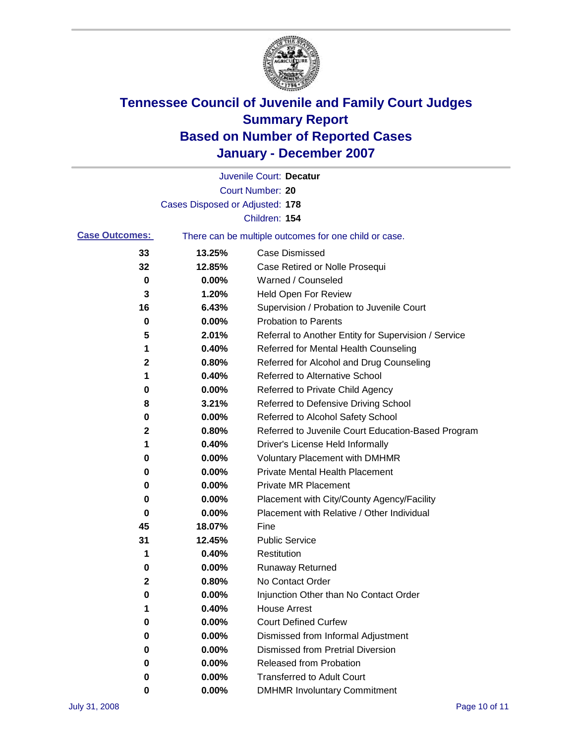

|                       |                                 | Juvenile Court: Decatur                               |
|-----------------------|---------------------------------|-------------------------------------------------------|
|                       |                                 | Court Number: 20                                      |
|                       | Cases Disposed or Adjusted: 178 |                                                       |
|                       |                                 | Children: 154                                         |
| <b>Case Outcomes:</b> |                                 | There can be multiple outcomes for one child or case. |
| 33                    | 13.25%                          | <b>Case Dismissed</b>                                 |
| 32                    | 12.85%                          | Case Retired or Nolle Prosequi                        |
| 0                     | 0.00%                           | Warned / Counseled                                    |
| 3                     | 1.20%                           | Held Open For Review                                  |
| 16                    | 6.43%                           | Supervision / Probation to Juvenile Court             |
| 0                     | 0.00%                           | <b>Probation to Parents</b>                           |
| 5                     | 2.01%                           | Referral to Another Entity for Supervision / Service  |
| 1                     | 0.40%                           | Referred for Mental Health Counseling                 |
| 2                     | 0.80%                           | Referred for Alcohol and Drug Counseling              |
| 1                     | 0.40%                           | <b>Referred to Alternative School</b>                 |
| 0                     | 0.00%                           | Referred to Private Child Agency                      |
| 8                     | 3.21%                           | Referred to Defensive Driving School                  |
| 0                     | 0.00%                           | Referred to Alcohol Safety School                     |
| 2                     | 0.80%                           | Referred to Juvenile Court Education-Based Program    |
| 1                     | 0.40%                           | Driver's License Held Informally                      |
| 0                     | 0.00%                           | <b>Voluntary Placement with DMHMR</b>                 |
| 0                     | 0.00%                           | <b>Private Mental Health Placement</b>                |
| 0                     | 0.00%                           | <b>Private MR Placement</b>                           |
| 0                     | 0.00%                           | Placement with City/County Agency/Facility            |
| 0                     | 0.00%                           | Placement with Relative / Other Individual            |
| 45                    | 18.07%                          | Fine                                                  |
| 31                    | 12.45%                          | <b>Public Service</b>                                 |
| 1                     | 0.40%                           | Restitution                                           |
| 0                     | 0.00%                           | <b>Runaway Returned</b>                               |
| 2                     | 0.80%                           | No Contact Order                                      |
| 0                     | 0.00%                           | Injunction Other than No Contact Order                |
| 1                     | 0.40%                           | <b>House Arrest</b>                                   |
| 0                     | 0.00%                           | <b>Court Defined Curfew</b>                           |
| 0                     | 0.00%                           | Dismissed from Informal Adjustment                    |
| 0                     | 0.00%                           | <b>Dismissed from Pretrial Diversion</b>              |
| 0                     | 0.00%                           | Released from Probation                               |
| 0                     | 0.00%                           | <b>Transferred to Adult Court</b>                     |
| 0                     | $0.00\%$                        | <b>DMHMR Involuntary Commitment</b>                   |